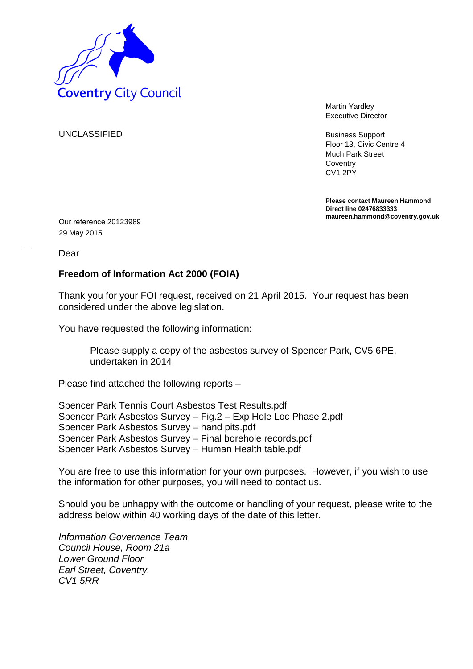

Martin Yardley Executive Director

Business Support Floor 13, Civic Centre 4 Much Park Street **Coventry** CV1 2PY

**Please contact Maureen Hammond Direct line 02476833333 maureen.hammond@coventry.gov.uk**

UNCLASSIFIED

Our reference 20123989 29 May 2015

Dear

## **Freedom of Information Act 2000 (FOIA)**

Thank you for your FOI request, received on 21 April 2015. Your request has been considered under the above legislation.

You have requested the following information:

Please supply a copy of the asbestos survey of Spencer Park, CV5 6PE, undertaken in 2014.

Please find attached the following reports –

Spencer Park Tennis Court Asbestos Test Results.pdf Spencer Park Asbestos Survey – Fig.2 – Exp Hole Loc Phase 2.pdf Spencer Park Asbestos Survey – hand pits.pdf Spencer Park Asbestos Survey – Final borehole records.pdf Spencer Park Asbestos Survey – Human Health table.pdf

You are free to use this information for your own purposes. However, if you wish to use the information for other purposes, you will need to contact us.

Should you be unhappy with the outcome or handling of your request, please write to the address below within 40 working days of the date of this letter.

*Information Governance Team Council House, Room 21a Lower Ground Floor Earl Street, Coventry. CV1 5RR*